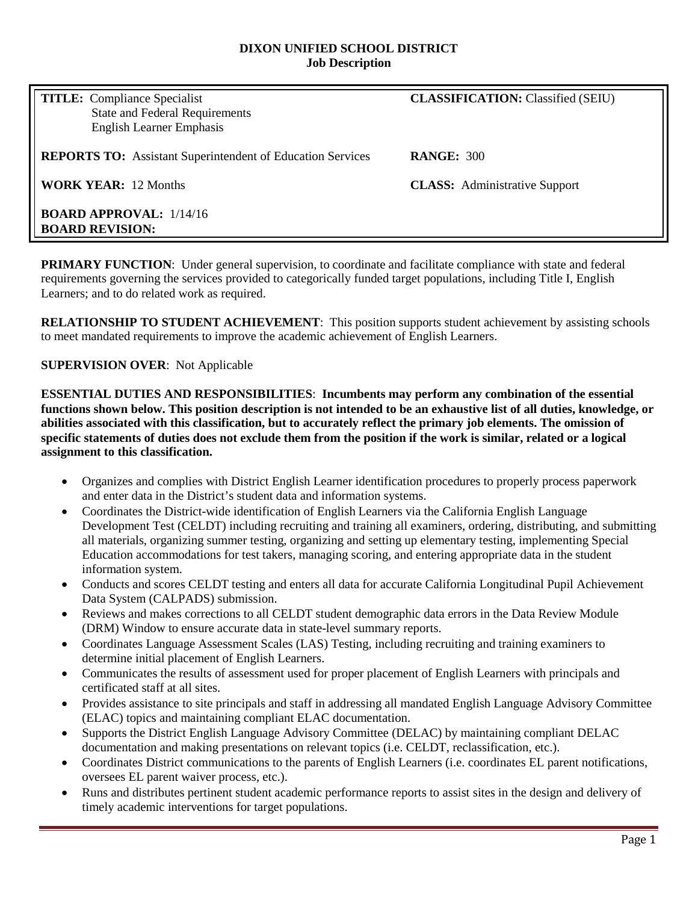#### **DIXON UNIFIED SCHOOL DISTRICT Job Description**

| <b>TITLE:</b> Compliance Specialist<br><b>State and Federal Requirements</b><br><b>English Learner Emphasis</b> | <b>CLASSIFICATION:</b> Classified (SEIU) |
|-----------------------------------------------------------------------------------------------------------------|------------------------------------------|
| <b>REPORTS TO:</b> Assistant Superintendent of Education Services                                               | <b>RANGE: 300</b>                        |
| <b>WORK YEAR: 12 Months</b>                                                                                     | <b>CLASS:</b> Administrative Support     |
| <b>BOARD APPROVAL:</b> $1/14/16$<br><b>BOARD REVISION:</b>                                                      |                                          |

**PRIMARY FUNCTION:** Under general supervision, to coordinate and facilitate compliance with state and federal requirements governing the services provided to categorically funded target populations, including Title I, English Learners; and to do related work as required.

**RELATIONSHIP TO STUDENT ACHIEVEMENT**: This position supports student achievement by assisting schools to meet mandated requirements to improve the academic achievement of English Learners.

#### **SUPERVISION OVER**: Not Applicable

**ESSENTIAL DUTIES AND RESPONSIBILITIES**: **Incumbents may perform any combination of the essential functions shown below. This position description is not intended to be an exhaustive list of all duties, knowledge, or abilities associated with this classification, but to accurately reflect the primary job elements. The omission of specific statements of duties does not exclude them from the position if the work is similar, related or a logical assignment to this classification.**

- Organizes and complies with District English Learner identification procedures to properly process paperwork and enter data in the District's student data and information systems.
- Coordinates the District-wide identification of English Learners via the California English Language Development Test (CELDT) including recruiting and training all examiners, ordering, distributing, and submitting all materials, organizing summer testing, organizing and setting up elementary testing, implementing Special Education accommodations for test takers, managing scoring, and entering appropriate data in the student information system.
- Conducts and scores CELDT testing and enters all data for accurate California Longitudinal Pupil Achievement Data System (CALPADS) submission.
- Reviews and makes corrections to all CELDT student demographic data errors in the Data Review Module (DRM) Window to ensure accurate data in state-level summary reports.
- Coordinates Language Assessment Scales (LAS) Testing, including recruiting and training examiners to determine initial placement of English Learners.
- Communicates the results of assessment used for proper placement of English Learners with principals and certificated staff at all sites.
- Provides assistance to site principals and staff in addressing all mandated English Language Advisory Committee (ELAC) topics and maintaining compliant ELAC documentation.
- Supports the District English Language Advisory Committee (DELAC) by maintaining compliant DELAC documentation and making presentations on relevant topics (i.e. CELDT, reclassification, etc.).
- Coordinates District communications to the parents of English Learners (i.e. coordinates EL parent notifications, oversees EL parent waiver process, etc.).
- Runs and distributes pertinent student academic performance reports to assist sites in the design and delivery of timely academic interventions for target populations.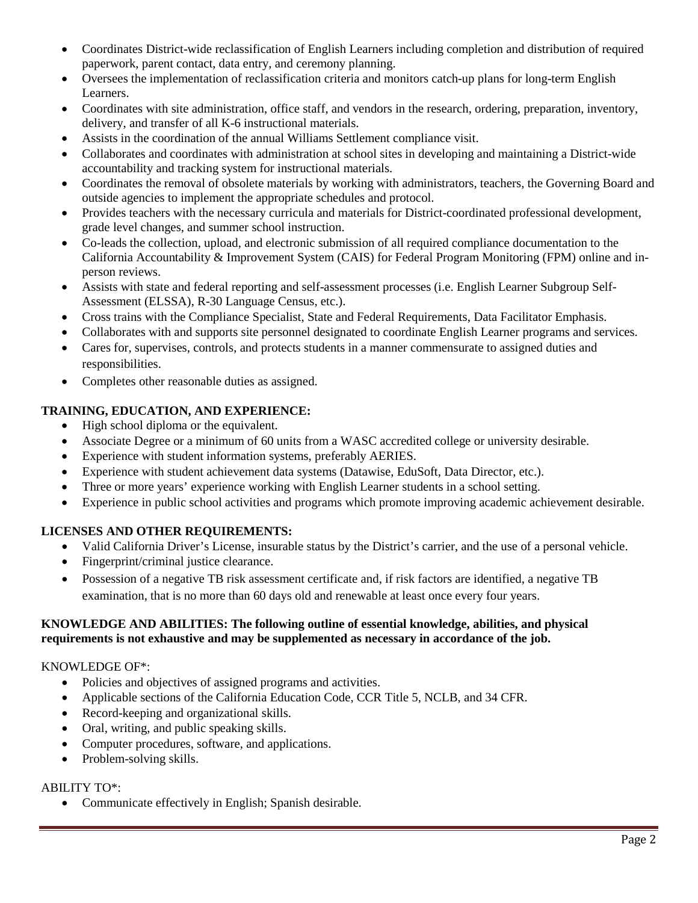- Coordinates District-wide reclassification of English Learners including completion and distribution of required paperwork, parent contact, data entry, and ceremony planning.
- Oversees the implementation of reclassification criteria and monitors catch-up plans for long-term English Learners.
- Coordinates with site administration, office staff, and vendors in the research, ordering, preparation, inventory, delivery, and transfer of all K-6 instructional materials.
- Assists in the coordination of the annual Williams Settlement compliance visit.
- Collaborates and coordinates with administration at school sites in developing and maintaining a District-wide accountability and tracking system for instructional materials.
- Coordinates the removal of obsolete materials by working with administrators, teachers, the Governing Board and outside agencies to implement the appropriate schedules and protocol.
- Provides teachers with the necessary curricula and materials for District-coordinated professional development, grade level changes, and summer school instruction.
- Co-leads the collection, upload, and electronic submission of all required compliance documentation to the California Accountability & Improvement System (CAIS) for Federal Program Monitoring (FPM) online and inperson reviews.
- Assists with state and federal reporting and self-assessment processes (i.e. English Learner Subgroup Self-Assessment (ELSSA), R-30 Language Census, etc.).
- Cross trains with the Compliance Specialist, State and Federal Requirements, Data Facilitator Emphasis.
- Collaborates with and supports site personnel designated to coordinate English Learner programs and services.
- Cares for, supervises, controls, and protects students in a manner commensurate to assigned duties and responsibilities.
- Completes other reasonable duties as assigned.

# **TRAINING, EDUCATION, AND EXPERIENCE:**

- High school diploma or the equivalent.
- Associate Degree or a minimum of 60 units from a WASC accredited college or university desirable.
- Experience with student information systems, preferably AERIES.
- Experience with student achievement data systems (Datawise, EduSoft, Data Director, etc.).
- Three or more years' experience working with English Learner students in a school setting.
- Experience in public school activities and programs which promote improving academic achievement desirable.

# **LICENSES AND OTHER REQUIREMENTS:**

- Valid California Driver's License, insurable status by the District's carrier, and the use of a personal vehicle.
- Fingerprint/criminal justice clearance.
- Possession of a negative TB risk assessment certificate and, if risk factors are identified, a negative TB examination, that is no more than 60 days old and renewable at least once every four years.

# **KNOWLEDGE AND ABILITIES: The following outline of essential knowledge, abilities, and physical requirements is not exhaustive and may be supplemented as necessary in accordance of the job.**

# KNOWLEDGE OF\*:

- Policies and objectives of assigned programs and activities.
- Applicable sections of the California Education Code, CCR Title 5, NCLB, and 34 CFR.
- Record-keeping and organizational skills.
- Oral, writing, and public speaking skills.
- Computer procedures, software, and applications.
- Problem-solving skills.

# ABILITY TO\*:

• Communicate effectively in English; Spanish desirable.